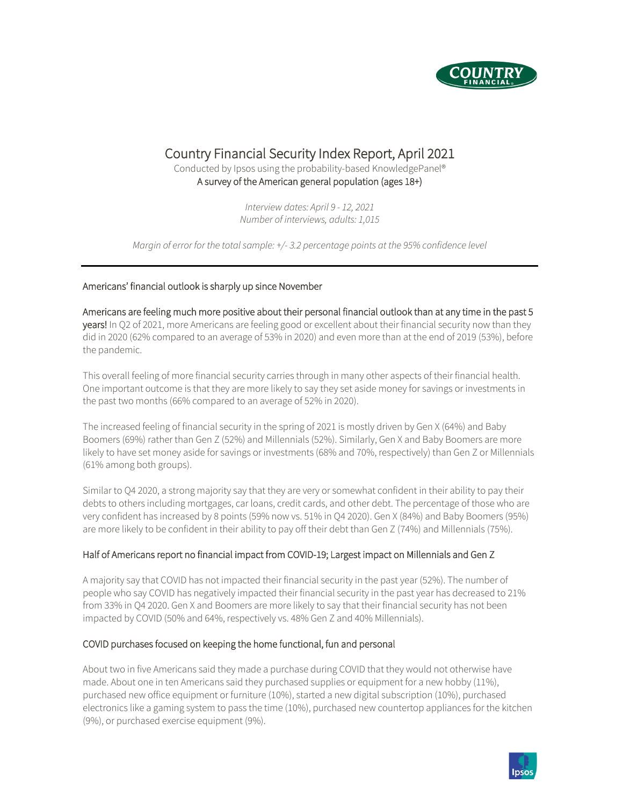

# Country Financial Security Index Report, April 2021<br>Conducted by Ipsos using the probability-based KnowledgePanel®

A survey of the American general population (ages 18+)

*Interview dates: April 9 - 12, 2021 Number of interviews, adults: 1,015*

*Margin of error for the total sample: +/- 3.2 percentage points at the 95% confidence level*

## Americans' financial outlook is sharply up since November

Americans are feeling much more positive about their personal financial outlook than at any time in the past 5 years! In Q2 of 2021, more Americans are feeling good or excellent about their financial security now than they did in 2020 (62% compared to an average of 53% in 2020) and even more than at the end of 2019 (53%), before the pandemic.

This overall feeling of more financial security carries through in many other aspects of their financial health. One important outcome is that they are more likely to say they set aside money for savings or investments in the past two months (66% compared to an average of 52% in 2020).

The increased feeling of financial security in the spring of 2021 is mostly driven by Gen X (64%) and Baby Boomers (69%) rather than Gen Z (52%) and Millennials (52%). Similarly, Gen X and Baby Boomers are more likely to have set money aside for savings or investments (68% and 70%, respectively) than Gen Z or Millennials (61% among both groups).

Similar to Q4 2020, a strong majority say that they are very or somewhat confident in their ability to pay their debts to others including mortgages, car loans, credit cards, and other debt. The percentage of those who are very confident has increased by 8 points (59% now vs. 51% in Q4 2020). Gen X (84%) and Baby Boomers (95%) are more likely to be confident in their ability to pay off their debt than Gen Z (74%) and Millennials (75%).

## Half of Americans report no financial impact from COVID-19; Largest impact on Millennials and Gen Z

A majority say that COVID has not impacted their financial security in the past year (52%). The number of people who say COVID has negatively impacted their financial security in the past year has decreased to 21% from 33% in Q4 2020. Gen X and Boomers are more likely to say that their financial security has not been impacted by COVID (50% and 64%, respectively vs. 48% Gen Z and 40% Millennials).

## COVID purchases focused on keeping the home functional, fun and personal

About two in five Americans said they made a purchase during COVID that they would not otherwise have made. About one in ten Americans said they purchased supplies or equipment for a new hobby (11%), purchased new office equipment or furniture (10%), started a new digital subscription (10%), purchased electronics like a gaming system to pass the time (10%), purchased new countertop appliances for the kitchen (9%), or purchased exercise equipment (9%).

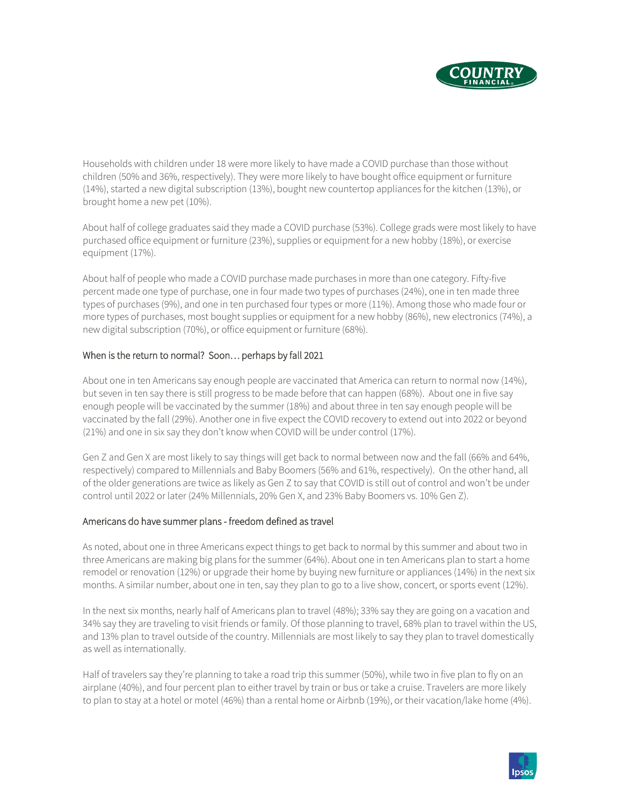

Households with children under 18 were more likely to have made a COVID purchase than those without children (50% and 36%, respectively). They were more likely to have bought office equipment or furniture (14%), started a new digital subscription (13%), bought new countertop appliances for the kitchen (13%), or brought home a new pet (10%).

About half of college graduates said they made a COVID purchase (53%). College grads were most likely to have purchased office equipment or furniture (23%), supplies or equipment for a new hobby (18%), or exercise equipment (17%).

About half of people who made a COVID purchase made purchases in more than one category. Fifty-five percent made one type of purchase, one in four made two types of purchases (24%), one in ten made three types of purchases (9%), and one in ten purchased four types or more (11%). Among those who made four or more types of purchases, most bought supplies or equipment for a new hobby (86%), new electronics (74%), a new digital subscription (70%), or office equipment or furniture (68%).

## When is the return to normal? Soon… perhaps by fall 2021

About one in ten Americans say enough people are vaccinated that America can return to normal now (14%), but seven in ten say there is still progress to be made before that can happen (68%). About one in five say enough people will be vaccinated by the summer (18%) and about three in ten say enough people will be vaccinated by the fall (29%). Another one in five expect the COVID recovery to extend out into 2022 or beyond (21%) and one in six say they don't know when COVID will be under control (17%).

Gen Z and Gen X are most likely to say things will get back to normal between now and the fall (66% and 64%, respectively) compared to Millennials and Baby Boomers (56% and 61%, respectively). On the other hand, all of the older generations are twice as likely as Gen Z to say that COVID is still out of control and won't be under control until 2022 or later (24% Millennials, 20% Gen X, and 23% Baby Boomers vs. 10% Gen Z).

## Americans do have summer plans - freedom defined as travel

As noted, about one in three Americans expect things to get back to normal by this summer and about two in three Americans are making big plans for the summer (64%). About one in ten Americans plan to start a home remodel or renovation (12%) or upgrade their home by buying new furniture or appliances (14%) in the next six months. A similar number, about one in ten, say they plan to go to a live show, concert, or sports event (12%).

In the next six months, nearly half of Americans plan to travel (48%); 33% say they are going on a vacation and 34% say they are traveling to visit friends or family. Of those planning to travel, 68% plan to travel within the US, and 13% plan to travel outside of the country. Millennials are most likely to say they plan to travel domestically as well as internationally.

Half of travelers say they're planning to take a road trip this summer (50%), while two in five plan to fly on an airplane (40%), and four percent plan to either travel by train or bus or take a cruise. Travelers are more likely to plan to stay at a hotel or motel (46%) than a rental home or Airbnb (19%), or their vacation/lake home (4%).

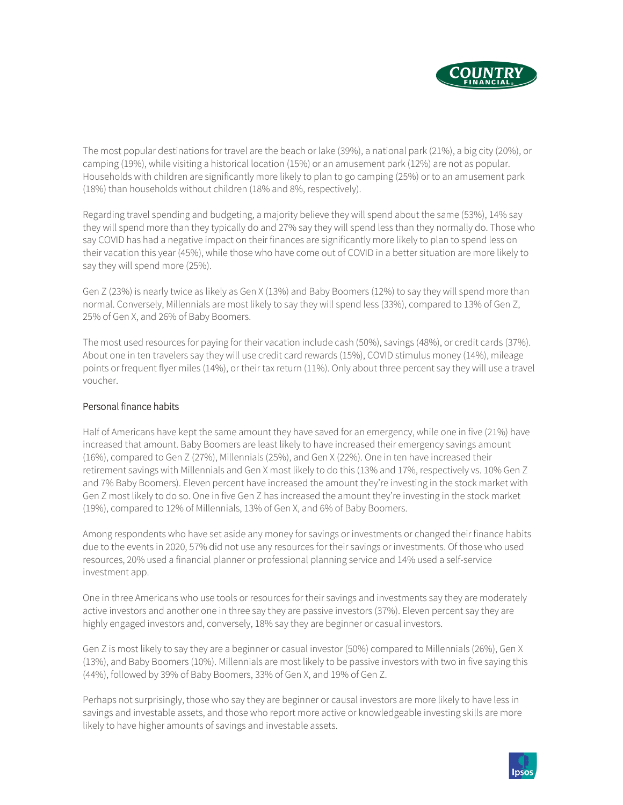

The most popular destinations for travel are the beach or lake (39%), a national park (21%), a big city (20%), or camping (19%), while visiting a historical location (15%) or an amusement park (12%) are not as popular. Households with children are significantly more likely to plan to go camping (25%) or to an amusement park (18%) than households without children (18% and 8%, respectively).

Regarding travel spending and budgeting, a majority believe they will spend about the same (53%), 14% say they will spend more than they typically do and 27% say they will spend less than they normally do. Those who say COVID has had a negative impact on their finances are significantly more likely to plan to spend less on their vacation this year (45%), while those who have come out of COVID in a better situation are more likely to say they will spend more (25%).

Gen Z (23%) is nearly twice as likely as Gen X (13%) and Baby Boomers (12%) to say they will spend more than normal. Conversely, Millennials are most likely to say they will spend less (33%), compared to 13% of Gen Z, 25% of Gen X, and 26% of Baby Boomers.

The most used resources for paying for their vacation include cash (50%), savings (48%), or credit cards (37%). About one in ten travelers say they will use credit card rewards (15%), COVID stimulus money (14%), mileage points or frequent flyer miles (14%), or their tax return (11%). Only about three percent say they will use a travel voucher.

#### Personal finance habits

Half of Americans have kept the same amount they have saved for an emergency, while one in five (21%) have increased that amount. Baby Boomers are least likely to have increased their emergency savings amount (16%), compared to Gen Z (27%), Millennials (25%), and Gen X (22%). One in ten have increased their retirement savings with Millennials and Gen X most likely to do this (13% and 17%, respectively vs. 10% Gen Z and 7% Baby Boomers). Eleven percent have increased the amount they're investing in the stock market with Gen Z most likely to do so. One in five Gen Z has increased the amount they're investing in the stock market (19%), compared to 12% of Millennials, 13% of Gen X, and 6% of Baby Boomers.

Among respondents who have set aside any money for savings or investments or changed their finance habits due to the events in 2020, 57% did not use any resources for their savings or investments. Of those who used resources, 20% used a financial planner or professional planning service and 14% used a self-service investment app.

One in three Americans who use tools or resources for their savings and investments say they are moderately active investors and another one in three say they are passive investors (37%). Eleven percent say they are highly engaged investors and, conversely, 18% say they are beginner or casual investors.

Gen Z is most likely to say they are a beginner or casual investor (50%) compared to Millennials (26%), Gen X (13%), and Baby Boomers (10%). Millennials are most likely to be passive investors with two in five saying this (44%), followed by 39% of Baby Boomers, 33% of Gen X, and 19% of Gen Z.

Perhaps not surprisingly, those who say they are beginner or causal investors are more likely to have less in savings and investable assets, and those who report more active or knowledgeable investing skills are more likely to have higher amounts of savings and investable assets.

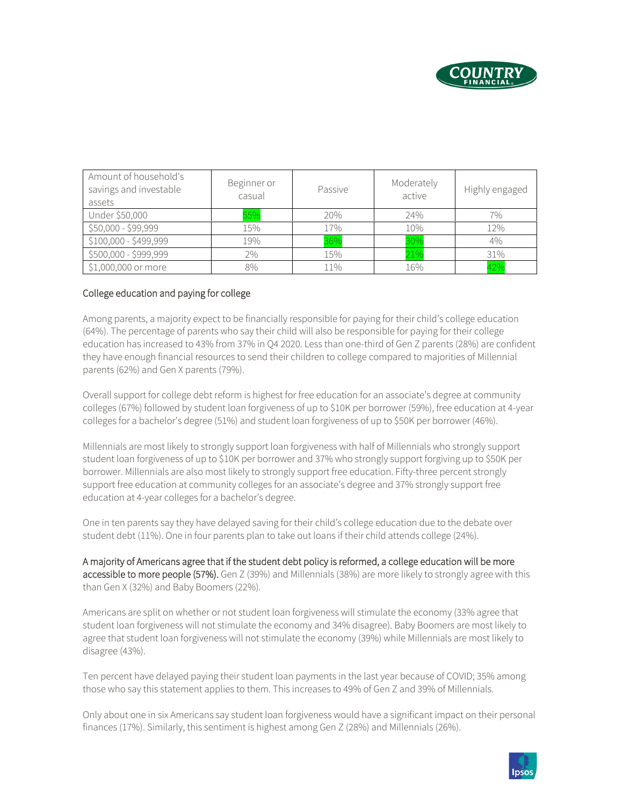

| Amount of household's<br>savings and investable<br>assets | Beginner or<br>casual | Passive | Moderately<br>active | Highly engaged |
|-----------------------------------------------------------|-----------------------|---------|----------------------|----------------|
| Under \$50,000                                            | 55%                   | 20%     | 24%                  | 7%             |
| \$50,000 - \$99,999                                       | 15%                   | 17%     | 10%                  | 12%            |
| \$100,000 - \$499,999                                     | 19%                   | 36%     | 30%                  | 4%             |
| \$500,000 - \$999,999                                     | 2%                    | 15%     | 21%                  | 31%            |
| \$1,000,000 or more                                       | 8%                    | 11%     | 16%                  | 42%            |

## College education and paying for college

Among parents, a majority expect to be financially responsible for paying for their child's college education (64%). The percentage of parents who say their child will also be responsible for paying for their college education has increased to 43% from 37% in Q4 2020. Less than one-third of Gen Z parents (28%) are confident they have enough financial resources to send their children to college compared to majorities of Millennial parents (62%) and Gen X parents (79%).

Overall support for college debt reform is highest for free education for an associate's degree at community colleges (67%) followed by student loan forgiveness of up to \$10K per borrower (59%), free education at 4-year colleges for a bachelor's degree (51%) and student loan forgiveness of up to \$50K per borrower (46%).

Millennials are most likely to strongly support loan forgiveness with half of Millennials who strongly support student loan forgiveness of up to \$10K per borrower and 37% who strongly support forgiving up to \$50K per borrower. Millennials are also most likely to strongly support free education. Fifty-three percent strongly support free education at community colleges for an associate's degree and 37% strongly support free education at 4-year colleges for a bachelor's degree.

One in ten parents say they have delayed saving for their child's college education due to the debate over student debt (11%). One in four parents plan to take out loans if their child attends college (24%).

A majority of Americans agree that if the student debt policy is reformed, a college education will be more accessible to more people (57%). Gen Z (39%) and Millennials (38%) are more likely to strongly agree with this than Gen X (32%) and Baby Boomers (22%).

Americans are split on whether or not student loan forgiveness will stimulate the economy (33% agree that student loan forgiveness will not stimulate the economy and 34% disagree). Baby Boomers are most likely to agree that student loan forgiveness will not stimulate the economy (39%) while Millennials are most likely to disagree (43%).

Ten percent have delayed paying their student loan payments in the last year because of COVID; 35% among those who say this statement applies to them. This increases to 49% of Gen Z and 39% of Millennials.

Only about one in six Americans say student loan forgiveness would have a significant impact on their personal finances (17%). Similarly, this sentiment is highest among Gen Z (28%) and Millennials (26%).

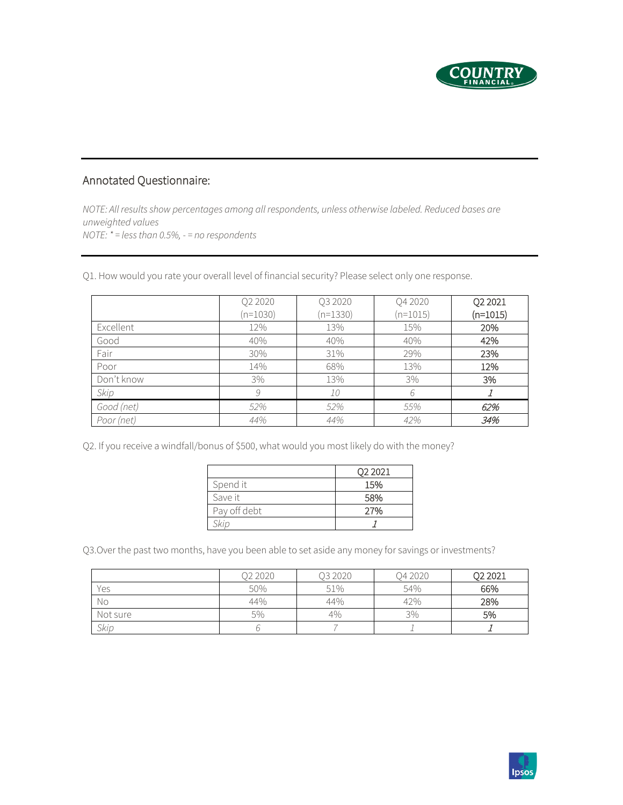

# Annotated Questionnaire:

*NOTE: All results show percentages among all respondents, unless otherwise labeled. Reduced bases are unweighted values NOTE: \* = less than 0.5%, - = no respondents*

Q1. How would you rate your overall level of financial security? Please select only one response.

|            | Q2 2020<br>$(n=1030)$ | Q3 2020<br>$(n=1330)$ | Q4 2020<br>$(n=1015)$ | Q2 2021<br>$(n=1015)$ |
|------------|-----------------------|-----------------------|-----------------------|-----------------------|
| Excellent  | 12%                   | 13%                   | 15%                   | 20%                   |
| Good       | 40%                   | 40%                   | 40%                   | 42%                   |
| Fair       | 30%                   | 31%                   | 29%                   | 23%                   |
| Poor       | 14%                   | 68%                   | 13%                   | 12%                   |
| Don't know | 3%                    | 13%                   | 3%                    | 3%                    |
| Skip       | 9                     | 10                    | 6                     |                       |
| Good (net) | 52%                   | 52%                   | 55%                   | 62%                   |
| Poor (net) | 44%                   | 44%                   | 42%                   | 34%                   |

Q2. If you receive a windfall/bonus of \$500, what would you most likely do with the money?

|              | Q2 2021 |
|--------------|---------|
| Spend it     | 15%     |
| Save it      | 58%     |
| Pay off debt | 27%     |
| Skip         |         |

Q3.Over the past two months, have you been able to set aside any money for savings or investments?

|          | Q2 2020 | Q3 2020 | Q4 2020 | Q2 2021 |
|----------|---------|---------|---------|---------|
| Yes      | 50%     | 51%     | 54%     | 66%     |
| Νo       | 44%     | 44%     | 42%     | 28%     |
| Not sure | 5%      | 4%      | 3%      | 5%      |
| Skip     |         |         |         |         |

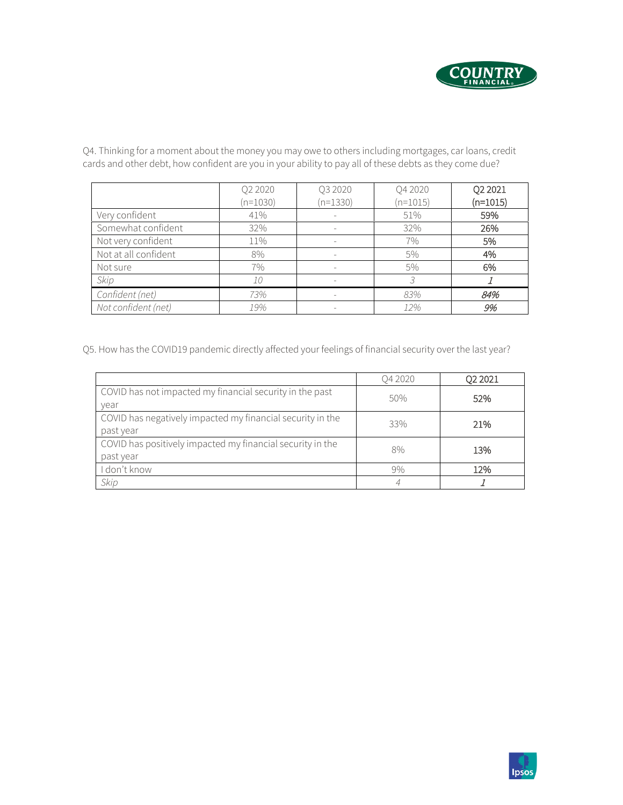

Q2 2020 (n=1030) Q3 2020 (n=1330) Q4 2020 (n=1015) Q2 2021 (n=1015) Very confident 196 41% - 51% 59% Somewhat confident 32% - 32% 26% Not very confident 11% 11% - 7% 7% 5% Not at all confident  $8\%$  8% -  $5\%$  4% Not sure 7% - 5% 6% *Skip 10 - 3* <sup>1</sup> *Confident (net) 73% - 83%* 84% *Not confident (net) 19% - 12%* 9%

Q4. Thinking for a moment about the money you may owe to others including mortgages, car loans, credit cards and other debt, how confident are you in your ability to pay all of these debts as they come due?

Q5. How has the COVID19 pandemic directly affected your feelings of financial security over the last year?

|                                                                         | O4 2020 | Q2 2021 |
|-------------------------------------------------------------------------|---------|---------|
| COVID has not impacted my financial security in the past<br>vear        | 50%     | 52%     |
| COVID has negatively impacted my financial security in the<br>past year | 33%     | 21%     |
| COVID has positively impacted my financial security in the<br>past year | 8%      | 13%     |
| I don't know                                                            | 9%      | 12%     |
| Skip                                                                    |         |         |

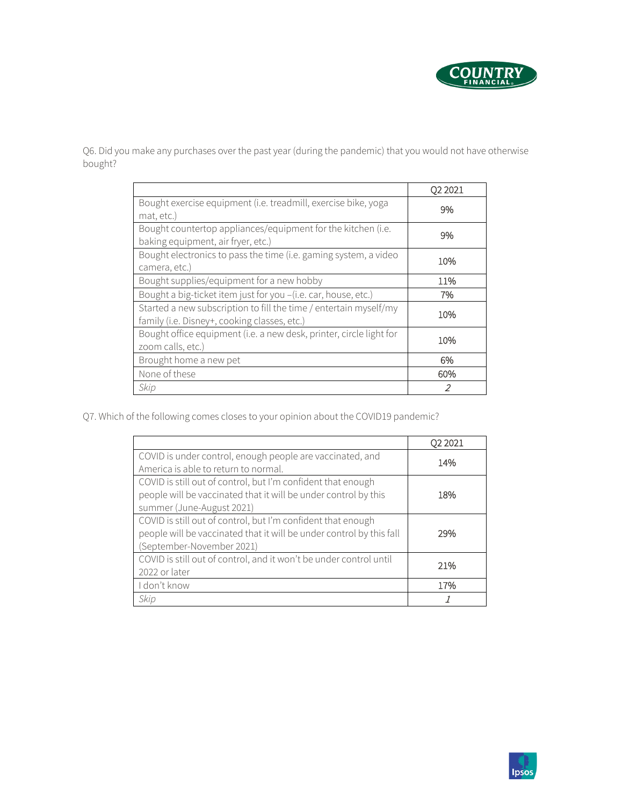

Q6. Did you make any purchases over the past year (during the pandemic) that you would not have otherwise bought?

|                                                                     | Q2 2021 |
|---------------------------------------------------------------------|---------|
| Bought exercise equipment (i.e. treadmill, exercise bike, yoga      | 9%      |
| mat, etc.)                                                          |         |
| Bought countertop appliances/equipment for the kitchen (i.e.        | 9%      |
| baking equipment, air fryer, etc.)                                  |         |
| Bought electronics to pass the time (i.e. gaming system, a video    |         |
| camera, etc.)                                                       | 10%     |
| Bought supplies/equipment for a new hobby                           | 11%     |
| Bought a big-ticket item just for you -(i.e. car, house, etc.)      | 7%      |
| Started a new subscription to fill the time / entertain myself/my   | 10%     |
| family (i.e. Disney+, cooking classes, etc.)                        |         |
| Bought office equipment (i.e. a new desk, printer, circle light for |         |
| zoom calls, etc.)                                                   | 10%     |
| Brought home a new pet                                              | 6%      |
| None of these                                                       | 60%     |
| Skip                                                                | 2       |

Q7. Which of the following comes closes to your opinion about the COVID19 pandemic?

|                                                                      | Q2 2021 |
|----------------------------------------------------------------------|---------|
| COVID is under control, enough people are vaccinated, and            | 14%     |
| America is able to return to normal.                                 |         |
| COVID is still out of control, but I'm confident that enough         |         |
| people will be vaccinated that it will be under control by this      | 18%     |
| summer (June-August 2021)                                            |         |
| COVID is still out of control, but I'm confident that enough         |         |
| people will be vaccinated that it will be under control by this fall | 29%     |
| (September-November 2021)                                            |         |
| COVID is still out of control, and it won't be under control until   | 21%     |
| 2022 or later                                                        |         |
| I don't know                                                         | 17%     |
| Skip                                                                 |         |

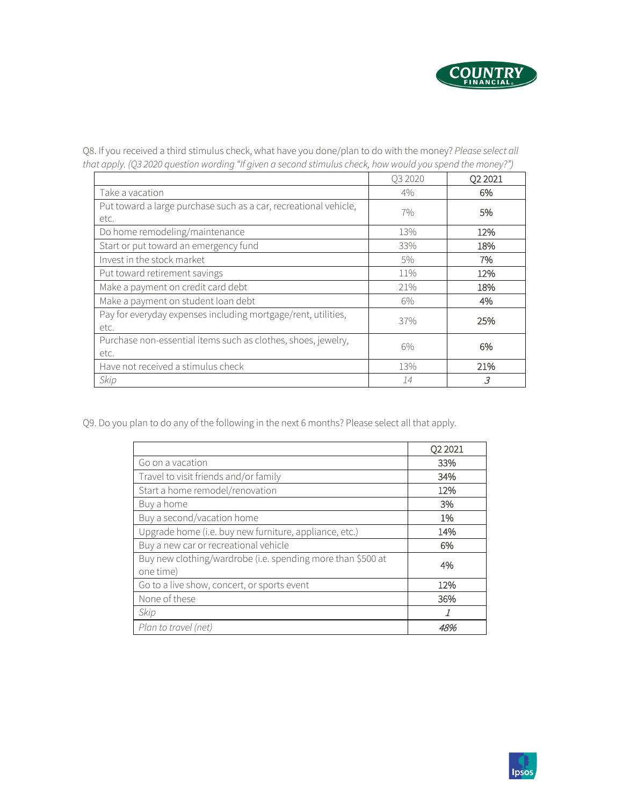

Q8. If you received a third stimulus check, what have you done/plan to do with the money? *Please select all that apply. (Q3 2020 question wording "If given a second stimulus check, how would you spend the money?")*

|                                                                       | Q3 2020 | Q2 2021        |
|-----------------------------------------------------------------------|---------|----------------|
| Take a vacation                                                       | 4%      | 6%             |
| Put toward a large purchase such as a car, recreational vehicle,      | $7\%$   | 5%             |
| etc.                                                                  |         |                |
| Do home remodeling/maintenance                                        | 13%     | 12%            |
| Start or put toward an emergency fund                                 | 33%     | 18%            |
| Invest in the stock market                                            | $5\%$   | 7%             |
| Put toward retirement savings                                         | 11%     | 12%            |
| Make a payment on credit card debt                                    | 21%     | 18%            |
| Make a payment on student loan debt                                   | $6\%$   | 4%             |
| Pay for everyday expenses including mortgage/rent, utilities,<br>etc. | 37%     | 25%            |
| Purchase non-essential items such as clothes, shoes, jewelry,<br>etc. | 6%      | 6%             |
| Have not received a stimulus check                                    | 13%     | 21%            |
| Skip                                                                  | 14      | $\overline{3}$ |

Q9. Do you plan to do any of the following in the next 6 months? Please select all that apply.

|                                                                          | Q2 2021 |
|--------------------------------------------------------------------------|---------|
| Go on a vacation                                                         | 33%     |
| Travel to visit friends and/or family                                    | 34%     |
| Start a home remodel/renovation                                          | 12%     |
| Buy a home                                                               | 3%      |
| Buy a second/vacation home                                               | 1%      |
| Upgrade home (i.e. buy new furniture, appliance, etc.)                   | 14%     |
| Buy a new car or recreational vehicle                                    | 6%      |
| Buy new clothing/wardrobe (i.e. spending more than \$500 at<br>one time) | 4%      |
| Go to a live show, concert, or sports event                              | 12%     |
| None of these                                                            | 36%     |
| Skip                                                                     |         |
| Plan to travel (net)                                                     |         |

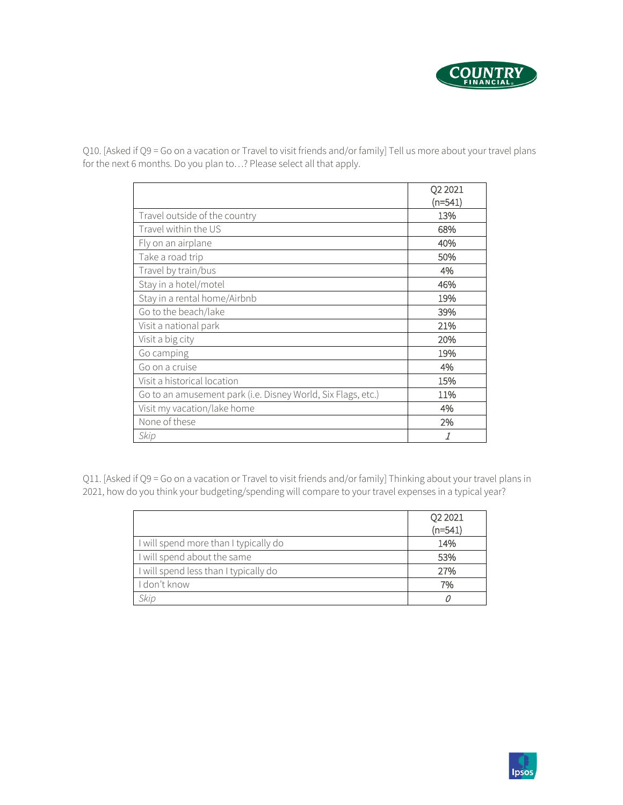

Q10. [Asked if Q9 = Go on a vacation or Travel to visit friends and/or family] Tell us more about your travel plans for the next 6 months. Do you plan to…? Please select all that apply.

|                                                              | Q2 2021   |
|--------------------------------------------------------------|-----------|
|                                                              | $(n=541)$ |
| Travel outside of the country                                | 13%       |
| Travel within the US                                         | 68%       |
| Fly on an airplane                                           | 40%       |
| Take a road trip                                             | 50%       |
| Travel by train/bus                                          | 4%        |
| Stay in a hotel/motel                                        | 46%       |
| Stay in a rental home/Airbnb                                 | 19%       |
| Go to the beach/lake                                         | 39%       |
| Visit a national park                                        | 21%       |
| Visit a big city                                             | 20%       |
| Go camping                                                   | 19%       |
| Go on a cruise                                               | 4%        |
| Visit a historical location                                  | 15%       |
| Go to an amusement park (i.e. Disney World, Six Flags, etc.) | 11%       |
| Visit my vacation/lake home                                  | 4%        |
| None of these                                                | 2%        |
| Skip                                                         |           |

Q11. [Asked if Q9 = Go on a vacation or Travel to visit friends and/or family] Thinking about your travel plans in 2021, how do you think your budgeting/spending will compare to your travel expenses in a typical year?

|                                       | Q2 2021   |
|---------------------------------------|-----------|
|                                       | $(n=541)$ |
| I will spend more than I typically do | 14%       |
| I will spend about the same           | 53%       |
| I will spend less than I typically do | 27%       |
| I don't know                          | 7%        |
| Skip                                  |           |

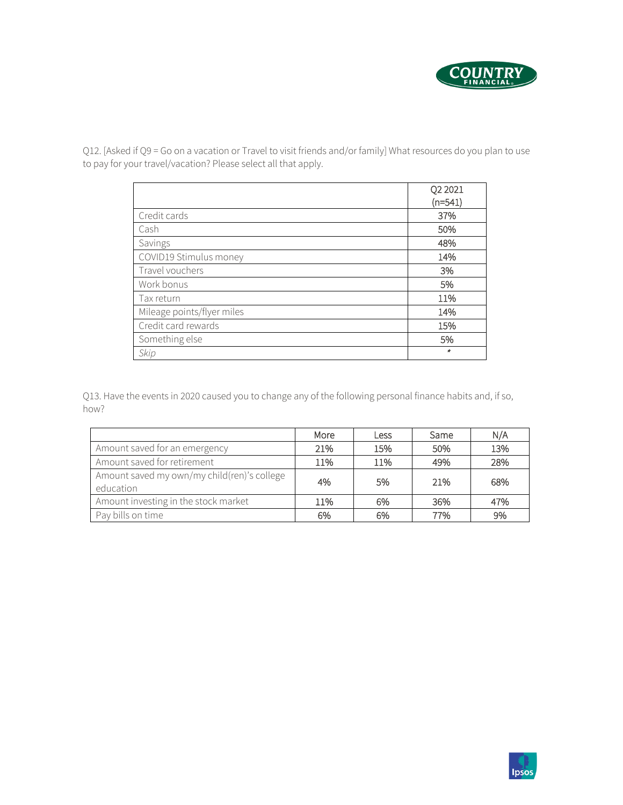

Q12. [Asked if Q9 = Go on a vacation or Travel to visit friends and/or family] What resources do you plan to use to pay for your travel/vacation? Please select all that apply.

|                            | Q2 2021   |
|----------------------------|-----------|
|                            | $(n=541)$ |
| Credit cards               | 37%       |
| Cash                       | 50%       |
| Savings                    | 48%       |
| COVID19 Stimulus money     | 14%       |
| Travel vouchers            | 3%        |
| Work bonus                 | 5%        |
| Tax return                 | 11%       |
| Mileage points/flyer miles | 14%       |
| Credit card rewards        | 15%       |
| Something else             | 5%        |
| Skip                       | $\ast$    |

Q13. Have the events in 2020 caused you to change any of the following personal finance habits and, if so, how?

|                                                          | More | Less | Same | N/A |
|----------------------------------------------------------|------|------|------|-----|
| Amount saved for an emergency                            | 21%  | 15%  | 50%  | 13% |
| Amount saved for retirement                              | 11%  | 11%  | 49%  | 28% |
| Amount saved my own/my child(ren)'s college<br>education | 4%   | 5%   | 21%  | 68% |
| Amount investing in the stock market                     | 11%  | 6%   | 36%  | 47% |
| Pay bills on time                                        | 6%   | 6%   | 77%  | 9%  |

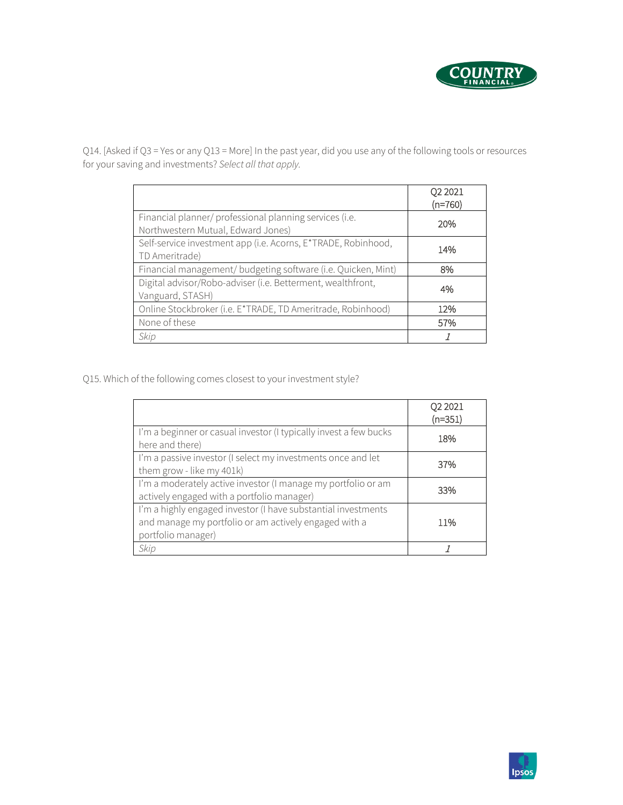

Q14. [Asked if Q3 = Yes or any Q13 = More] In the past year, did you use any of the following tools or resources for your saving and investments? *Select all that apply.*

|                                                                                               | Q2 2021<br>$(n=760)$ |
|-----------------------------------------------------------------------------------------------|----------------------|
| Financial planner/ professional planning services (i.e.<br>Northwestern Mutual, Edward Jones) | 20%                  |
| Self-service investment app (i.e. Acorns, E*TRADE, Robinhood,<br>TD Ameritrade)               | 14%                  |
| Financial management/ budgeting software (i.e. Quicken, Mint)                                 | 8%                   |
| Digital advisor/Robo-adviser (i.e. Betterment, wealthfront,<br>Vanguard, STASH)               | 4%                   |
| Online Stockbroker (i.e. E*TRADE, TD Ameritrade, Robinhood)                                   | 12%                  |
| None of these                                                                                 | 57%                  |
| Skip                                                                                          |                      |

Q15. Which of the following comes closest to your investment style?

|                                                                                                                                              | Q2 2021   |
|----------------------------------------------------------------------------------------------------------------------------------------------|-----------|
|                                                                                                                                              | $(n=351)$ |
| I'm a beginner or casual investor (I typically invest a few bucks<br>here and there)                                                         | 18%       |
| I'm a passive investor (I select my investments once and let<br>them grow - like my 401k)                                                    | 37%       |
| I'm a moderately active investor (I manage my portfolio or am<br>actively engaged with a portfolio manager)                                  | 33%       |
| I'm a highly engaged investor (I have substantial investments<br>and manage my portfolio or am actively engaged with a<br>portfolio manager) | 11%       |
| Skip                                                                                                                                         |           |

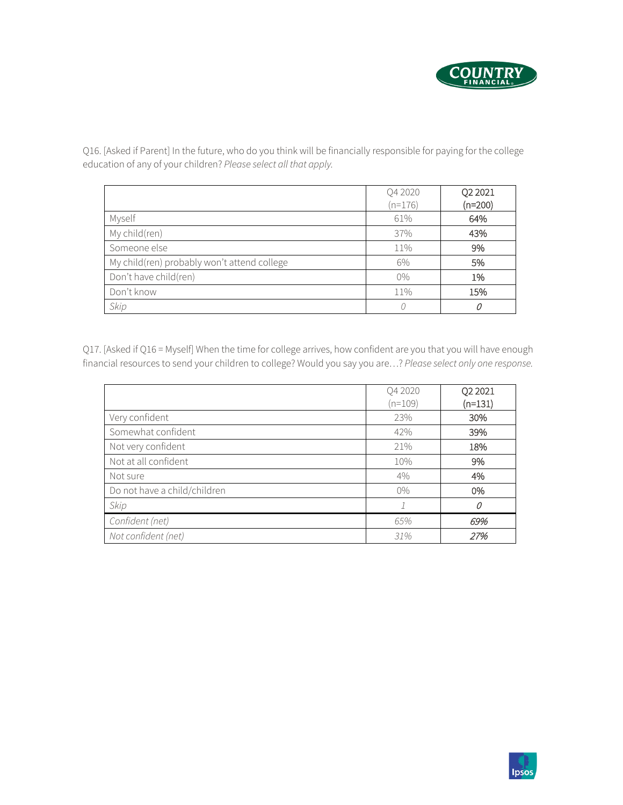

Q4 2020 (n=176) Q2 2021 (n=200) Myself 61% 64% My child(ren) **43% 43%** Someone else 11% 9% My child(ren) probably won't attend college  $\begin{array}{|c|c|c|c|c|c|c|c|c|} \hline \text{6\%} & \text{5\%} \end{array}$ Don't have child(ren) 0% 1% Don't know 11% 15% *Skip 0* <sup>0</sup>

Q16. [Asked if Parent] In the future, who do you think will be financially responsible for paying for the college education of any of your children? *Please select all that apply.*

Q17. [Asked if Q16 = Myself] When the time for college arrives, how confident are you that you will have enough financial resources to send your children to college? Would you say you are…? *Please select only one response.*

|                              | Q4 2020<br>(n=109) | Q2 2021<br>$(n=131)$ |
|------------------------------|--------------------|----------------------|
| Very confident               | 23%                | 30%                  |
| Somewhat confident           | 42%                | 39%                  |
| Not very confident           | 21%                | 18%                  |
| Not at all confident         | 10%                | 9%                   |
| Not sure                     | 4%                 | 4%                   |
| Do not have a child/children | $0\%$              | 0%                   |
| Skip                         |                    | 0                    |
| Confident (net)              | 65%                | 69%                  |
| Not confident (net)          | 31%                | 27%                  |

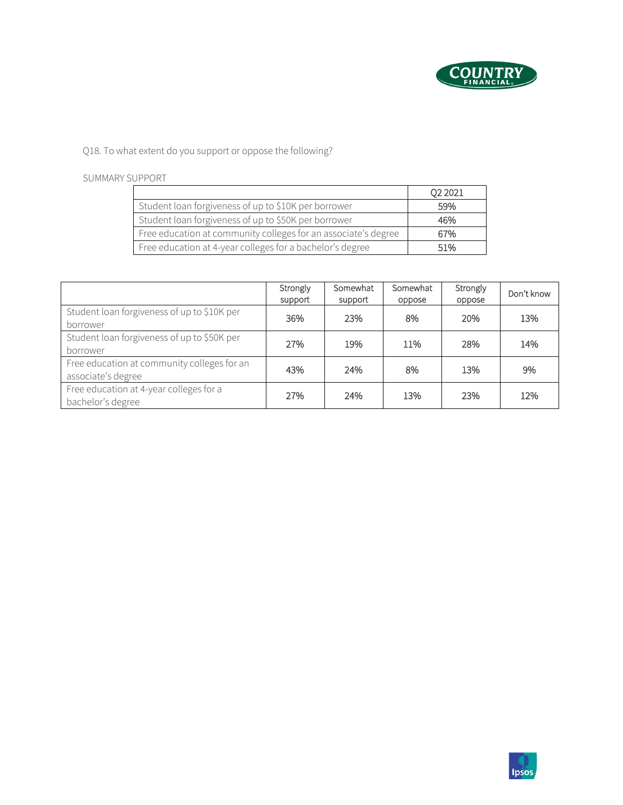

Q18. To what extent do you support or oppose the following?

#### SUMMARY SUPPORT

|                                                                | Q <sub>2</sub> 2021 |
|----------------------------------------------------------------|---------------------|
| Student loan forgiveness of up to \$10K per borrower           | 59%                 |
| Student loan forgiveness of up to \$50K per borrower           | 46%                 |
| Free education at community colleges for an associate's degree | 67%                 |
| Free education at 4-year colleges for a bachelor's degree      | 51%                 |

|                                                                   | Strongly<br>support | Somewhat<br>support | Somewhat<br>oppose | Strongly<br>oppose | Don't know |
|-------------------------------------------------------------------|---------------------|---------------------|--------------------|--------------------|------------|
| Student loan forgiveness of up to \$10K per<br>borrower           | 36%                 | 23%                 | 8%                 | 20%                | 13%        |
| Student loan forgiveness of up to \$50K per<br>borrower           | 27%                 | 19%                 | 11%                | 28%                | 14%        |
| Free education at community colleges for an<br>associate's degree | 43%                 | 24%                 | 8%                 | 13%                | 9%         |
| Free education at 4-year colleges for a<br>bachelor's degree      | 27%                 | 24%                 | 13%                | 23%                | 12%        |

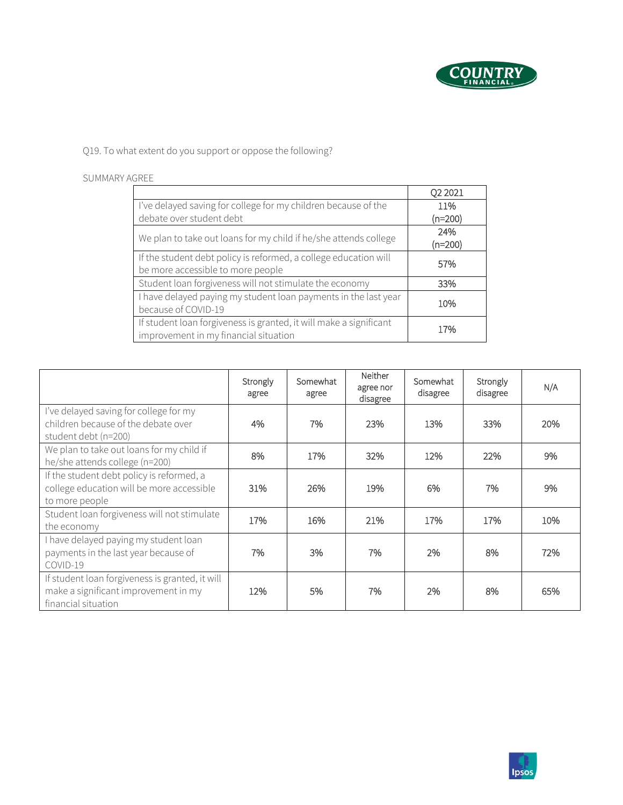

Q19. To what extent do you support or oppose the following?

#### SUMMARY AGREE

|                                                                                                             | Q <sub>2</sub> 2021 |
|-------------------------------------------------------------------------------------------------------------|---------------------|
| I've delayed saving for college for my children because of the                                              | 11%                 |
| debate over student debt                                                                                    | $(n=200)$           |
| We plan to take out loans for my child if he/she attends college                                            | 24%<br>$(n=200)$    |
| If the student debt policy is reformed, a college education will<br>be more accessible to more people       | 57%                 |
| Student loan forgiveness will not stimulate the economy                                                     | 33%                 |
| I have delayed paying my student loan payments in the last year<br>because of COVID-19                      | 10%                 |
| If student loan forgiveness is granted, it will make a significant<br>improvement in my financial situation | 17%                 |

|                                                                                                                | Strongly<br>agree | Somewhat<br>agree | <b>Neither</b><br>agree nor<br>disagree | Somewhat<br>disagree | Strongly<br>disagree | N/A |
|----------------------------------------------------------------------------------------------------------------|-------------------|-------------------|-----------------------------------------|----------------------|----------------------|-----|
| I've delayed saving for college for my<br>children because of the debate over<br>student debt (n=200)          | 4%                | 7%                | 23%                                     | 13%                  | 33%                  | 20% |
| We plan to take out loans for my child if<br>he/she attends college (n=200)                                    | 8%                | 17%               | 32%                                     | 12%                  | 22%                  | 9%  |
| If the student debt policy is reformed, a<br>college education will be more accessible<br>to more people       | 31%               | 26%               | 19%                                     | 6%                   | 7%                   | 9%  |
| Student loan forgiveness will not stimulate<br>the economy                                                     | 17%               | 16%               | 21%                                     | 17%                  | 17%                  | 10% |
| I have delayed paying my student loan<br>payments in the last year because of<br>COVID-19                      | 7%                | 3%                | 7%                                      | 2%                   | 8%                   | 72% |
| If student loan forgiveness is granted, it will<br>make a significant improvement in my<br>financial situation | 12%               | 5%                | 7%                                      | 2%                   | 8%                   | 65% |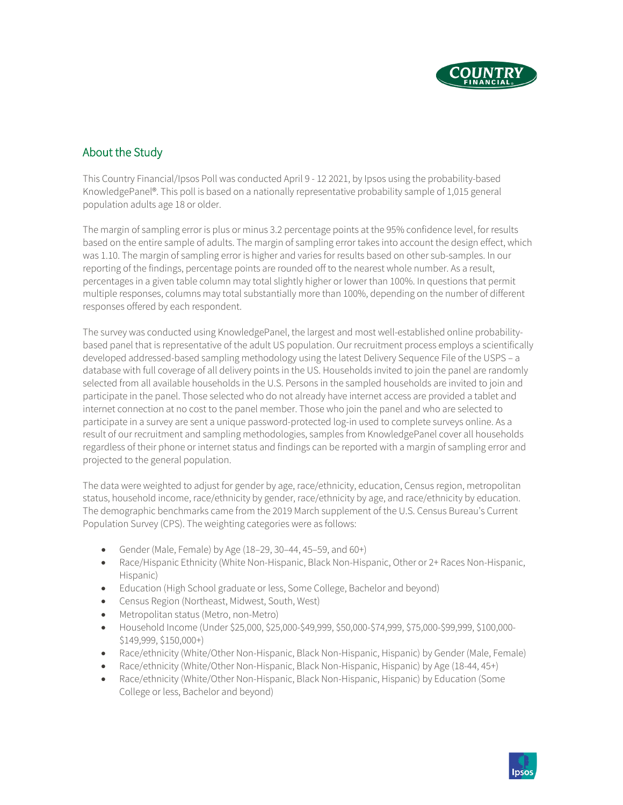

# About the Study

This Country Financial/Ipsos Poll was conducted April 9 - 12 2021, by Ipsos using the probability-based KnowledgePanel®. This poll is based on a nationally representative probability sample of 1,015 general population adults age 18 or older.

The margin of sampling error is plus or minus 3.2 percentage points at the 95% confidence level, for results based on the entire sample of adults. The margin of sampling error takes into account the design effect, which was 1.10. The margin of sampling error is higher and varies for results based on other sub-samples. In our reporting of the findings, percentage points are rounded off to the nearest whole number. As a result, percentages in a given table column may total slightly higher or lower than 100%. In questions that permit multiple responses, columns may total substantially more than 100%, depending on the number of different responses offered by each respondent.

The survey was conducted using KnowledgePanel, the largest and most well-established online probabilitybased panel that is representative of the adult US population. Our recruitment process employs a scientifically developed addressed-based sampling methodology using the latest Delivery Sequence File of the USPS – a database with full coverage of all delivery points in the US. Households invited to join the panel are randomly selected from all available households in the U.S. Persons in the sampled households are invited to join and participate in the panel. Those selected who do not already have internet access are provided a tablet and internet connection at no cost to the panel member. Those who join the panel and who are selected to participate in a survey are sent a unique password-protected log-in used to complete surveys online. As a result of our recruitment and sampling methodologies, samples from KnowledgePanel cover all households regardless of their phone or internet status and findings can be reported with a margin of sampling error and projected to the general population.

The data were weighted to adjust for gender by age, race/ethnicity, education, Census region, metropolitan status, household income, race/ethnicity by gender, race/ethnicity by age, and race/ethnicity by education. The demographic benchmarks came from the 2019 March supplement of the U.S. Census Bureau's Current Population Survey (CPS). The weighting categories were as follows:

- Gender (Male, Female) by Age (18–29, 30–44, 45–59, and 60+)
- Race/Hispanic Ethnicity (White Non-Hispanic, Black Non-Hispanic, Other or 2+ Races Non-Hispanic, Hispanic)
- Education (High School graduate or less, Some College, Bachelor and beyond)
- Census Region (Northeast, Midwest, South, West)
- Metropolitan status (Metro, non-Metro)
- Household Income (Under \$25,000, \$25,000-\$49,999, \$50,000-\$74,999, \$75,000-\$99,999, \$100,000- \$149,999, \$150,000+)
- Race/ethnicity (White/Other Non-Hispanic, Black Non-Hispanic, Hispanic) by Gender (Male, Female)
- Race/ethnicity (White/Other Non-Hispanic, Black Non-Hispanic, Hispanic) by Age (18-44, 45+)
- Race/ethnicity (White/Other Non-Hispanic, Black Non-Hispanic, Hispanic) by Education (Some College or less, Bachelor and beyond)